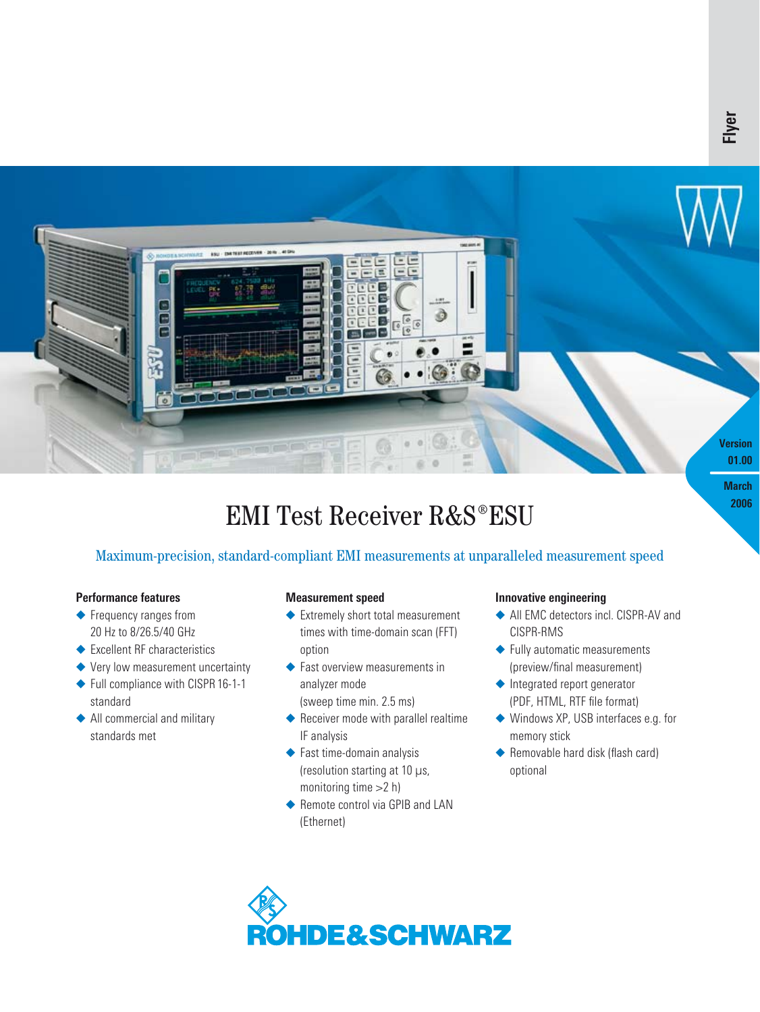

# **EMI Test Receiver R&S®ESU**

# Maximum-precision, standard-compliant EMI measurements at unparalleled measurement speed

### **Performance features**

- ◆ Frequency ranges from 20 Hz to 8/26.5/40 GHz
- ◆ Excellent RF characteristics
- ◆ Very low measurement uncertainty
- ◆ Full compliance with CISPR 16-1-1 standard
- ◆ All commercial and military standards met

# **Measurement speed**

- ◆ Extremely short total measurement times with time-domain scan (FFT) option
- ◆ Fast overview measurements in analyzer mode (sweep time min. 2.5 ms)
- ◆ Receiver mode with parallel realtime IF analysis
- ◆ Fast time-domain analysis (resolution starting at 10 µs, monitoring time >2 h)
- ◆ Remote control via GPIB and LAN (Ethernet)

### **Innovative engineering**

- ◆ All EMC detectors incl. CISPR-AV and CISPR-RMS
- ◆ Fully automatic measurements (preview/final measurement)
- ◆ Integrated report generator (PDF, HTML, RTF file format)
- ◆ Windows XP, USB interfaces e.g. for memory stick
- ◆ Removable hard disk (flash card) optional

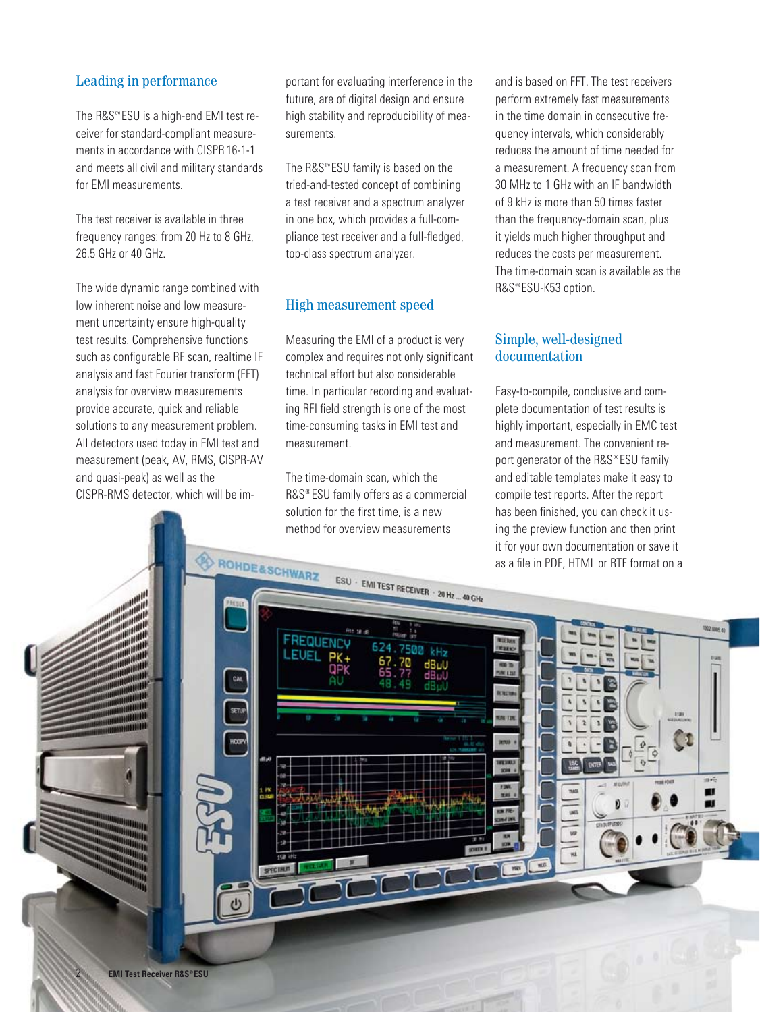## Leading in performance

The R&S®ESU is a high-end EMI test receiver for standard-compliant measurements in accordance with CISPR16-1-1 and meets all civil and military standards for EMI measurements.

The test receiver is available in three frequency ranges: from 20 Hz to 8 GHz, 26.5 GHz or 40 GHz.

The wide dynamic range combined with low inherent noise and low measurement uncertainty ensure high-quality test results. Comprehensive functions such as configurable RF scan, realtime IF analysis and fast Fourier transform (FFT) analysis for overview measurements provide accurate, quick and reliable solutions to any measurement problem. All detectors used today in EMI test and measurement (peak, AV, RMS, CISPR-AV and quasi-peak) as well as the CISPR-RMS detector, which will be important for evaluating interference in the future, are of digital design and ensure high stability and reproducibility of measurements.

The R&S®ESU family is based on the tried-and-tested concept of combining a test receiver and a spectrum analyzer in one box, which provides a full-compliance test receiver and a full-fledged, top-class spectrum analyzer.

# High measurement speed

Measuring the EMI of a product is very complex and requires not only significant technical effort but also considerable time. In particular recording and evaluating RFI field strength is one of the most time-consuming tasks in EMI test and measurement.

The time-domain scan, which the R&S®ESU family offers as a commercial solution for the first time, is a new method for overview measurements

and is based on FFT. The test receivers perform extremely fast measurements in the time domain in consecutive frequency intervals, which considerably reduces the amount of time needed for a measurement. A frequency scan from 30 MHz to 1 GHz with an IF bandwidth of 9 kHz is more than 50 times faster than the frequency-domain scan, plus it yields much higher throughput and reduces the costs per measurement. The time-domain scan is available as the R&S®ESU-K53 option.

# Simple, well-designed documentation

Easy-to-compile, conclusive and complete documentation of test results is highly important, especially in EMC test and measurement. The convenient report generator of the R&S®ESU family and editable templates make it easy to compile test reports. After the report has been finished, you can check it using the preview function and then print it for your own documentation or save it as a file in PDF, HTML or RTF format on a

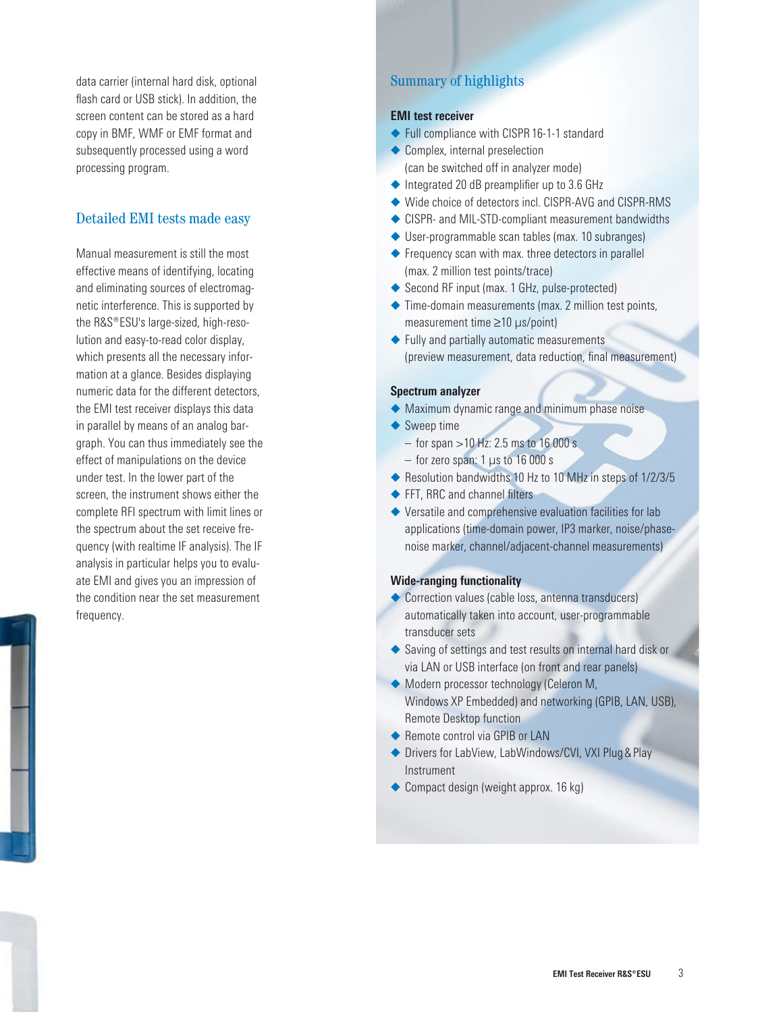data carrier (internal hard disk, optional flash card or USB stick). In addition, the screen content can be stored as a hard copy in BMF, WMF or EMF format and subsequently processed using a word processing program.

# Detailed EMI tests made easy

Manual measurement is still the most effective means of identifying, locating and eliminating sources of electromagnetic interference. This is supported by the R&S®ESU's large-sized, high-resolution and easy-to-read color display, which presents all the necessary information at a glance. Besides displaying numeric data for the different detectors, the EMI test receiver displays this data in parallel by means of an analog bargraph. You can thus immediately see the effect of manipulations on the device under test. In the lower part of the screen, the instrument shows either the complete RFI spectrum with limit lines or the spectrum about the set receive frequency (with realtime IF analysis). The IF analysis in particular helps you to evaluate EMI and gives you an impression of the condition near the set measurement frequency.

# Summary of highlights

### **EMI test receiver**

- ◆ Full compliance with CISPR 16-1-1 standard
- ◆ Complex, internal preselection (can be switched off in analyzer mode)
- ◆ Integrated 20 dB preamplifier up to 3.6 GHz
- ◆ Wide choice of detectors incl. CISPR-AVG and CISPR-RMS
- ◆ CISPR- and MIL-STD-compliant measurement bandwidths
- ◆ User-programmable scan tables (max. 10 subranges)
- ◆ Frequency scan with max. three detectors in parallel (max. 2 million test points/trace)
- ◆ Second RF input (max. 1 GHz, pulse-protected)
- ◆ Time-domain measurements (max. 2 million test points, measurement time ≥10 µs/point)
- ◆ Fully and partially automatic measurements (preview measurement, data reduction, final measurement)

#### **Spectrum analyzer**

- ◆ Maximum dynamic range and minimum phase noise
- ◆ Sweep time
	- $-$  for span >10 Hz: 2.5 ms to 16 000 s
	- $-$  for zero span: 1  $\mu$ s to 16 000 s
- ◆ Resolution bandwidths 10 Hz to 10 MHz in steps of 1/2/3/5
- ◆ FFT, RRC and channel filters
- ◆ Versatile and comprehensive evaluation facilities for lab applications (time-domain power, IP3 marker, noise/phasenoise marker, channel/adjacent-channel measurements)

#### **Wide-ranging functionality**

- ◆ Correction values (cable loss, antenna transducers) automatically taken into account, user-programmable transducer sets
- ◆ Saving of settings and test results on internal hard disk or via LAN or USB interface (on front and rear panels)
- ◆ Modern processor technology (Celeron M, Windows XP Embedded) and networking (GPIB, LAN, USB), Remote Desktop function
- ◆ Remote control via GPIB or LAN
- ◆ Drivers for LabView, LabWindows/CVI, VXI Plug & Play Instrument
- ◆ Compact design (weight approx. 16 kg)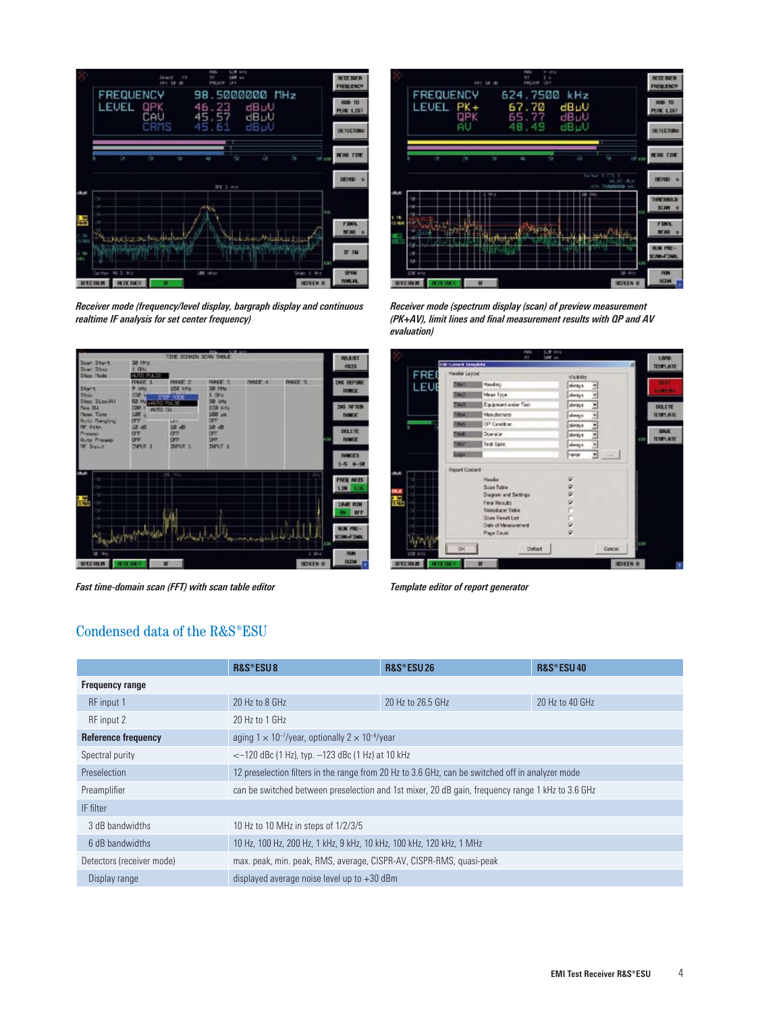

*Receiver mode (frequency/level display, bargraph display and continuous realtime IF analysis for set center frequency)*



*Fast time-domain scan (FFT) with scan table editor Template editor of report generator*



*Receiver mode (spectrum display (scan) of preview measurement (PK+AV), limit lines and final measurement results with QP and AV evaluation)*

|     | <b>130 Listers Tengkite</b> | mt                      | 507 ac         | LOVO<br>킈<br><b>TERFLATE</b>             |
|-----|-----------------------------|-------------------------|----------------|------------------------------------------|
| FRE | Header Layout               |                         | Visibility     |                                          |
| EUI | <b>Titlet</b>               | Haidma                  | sheep to       | m                                        |
|     | œ                           | Mean Type:              | aloney to<br>a | <b>GARRISTER</b>                         |
|     | <b>TIRAT</b>                | Equipment under Twid    | steat:<br>Ľ    | <b>DELETE</b>                            |
|     | m                           | Manufacturer            | always.<br>٠   | <b>BENDLAIR</b>                          |
|     |                             | OP Canditon             | stewis<br>٠    |                                          |
|     | <b>THAT</b>                 | <b>Oberston</b>         | stimay or<br>ž | <b>MALE</b><br><b>TEMPLATE</b><br>si tor |
|     | <b>THERE</b>                | Test Spot               | ž<br>always.   |                                          |
|     | Logal                       |                         | Ξ<br>new       |                                          |
|     | <b>Report Content</b>       |                         |                |                                          |
| 面水  |                             | Handis                  | ۰              |                                          |
|     |                             | Scan Table              | ø              |                                          |
|     |                             | Diagram and Settings    | ø              |                                          |
| 榲   |                             | Final Desults           | 21.12.0        |                                          |
|     |                             | Trinoducer Table        |                |                                          |
|     |                             | <b>Shan Panult List</b> |                |                                          |
|     |                             | Date of Measurement     |                |                                          |
|     |                             | Page Court              |                |                                          |

# Condensed data of the R&S®ESU

|                            | R&S®ESU8                                                                                         | R&S®ESU26         | R&S®ESU40       |
|----------------------------|--------------------------------------------------------------------------------------------------|-------------------|-----------------|
| <b>Frequency range</b>     |                                                                                                  |                   |                 |
| RF input 1                 | 20 Hz to 8 GHz                                                                                   | 20 Hz to 26.5 GHz | 20 Hz to 40 GHz |
| RF input 2                 | 20 Hz to 1 GHz                                                                                   |                   |                 |
| <b>Reference frequency</b> | aging $1 \times 10^{-7}$ /year, optionally $2 \times 10^{-8}$ /year                              |                   |                 |
| Spectral purity            | $<-120$ dBc (1 Hz), typ. $-123$ dBc (1 Hz) at 10 kHz                                             |                   |                 |
| Preselection               | 12 preselection filters in the range from 20 Hz to 3.6 GHz, can be switched off in analyzer mode |                   |                 |
| Preamplifier               | can be switched between preselection and 1st mixer, 20 dB gain, frequency range 1 kHz to 3.6 GHz |                   |                 |
| IF filter                  |                                                                                                  |                   |                 |
| 3 dB bandwidths            | 10 Hz to 10 MHz in steps of 1/2/3/5                                                              |                   |                 |
| 6 dB bandwidths            | 10 Hz, 100 Hz, 200 Hz, 1 kHz, 9 kHz, 10 kHz, 100 kHz, 120 kHz, 1 MHz                             |                   |                 |
| Detectors (receiver mode)  | max. peak, min. peak, RMS, average, CISPR-AV, CISPR-RMS, quasi-peak                              |                   |                 |
| Display range              | displayed average noise level up to $+30$ dBm                                                    |                   |                 |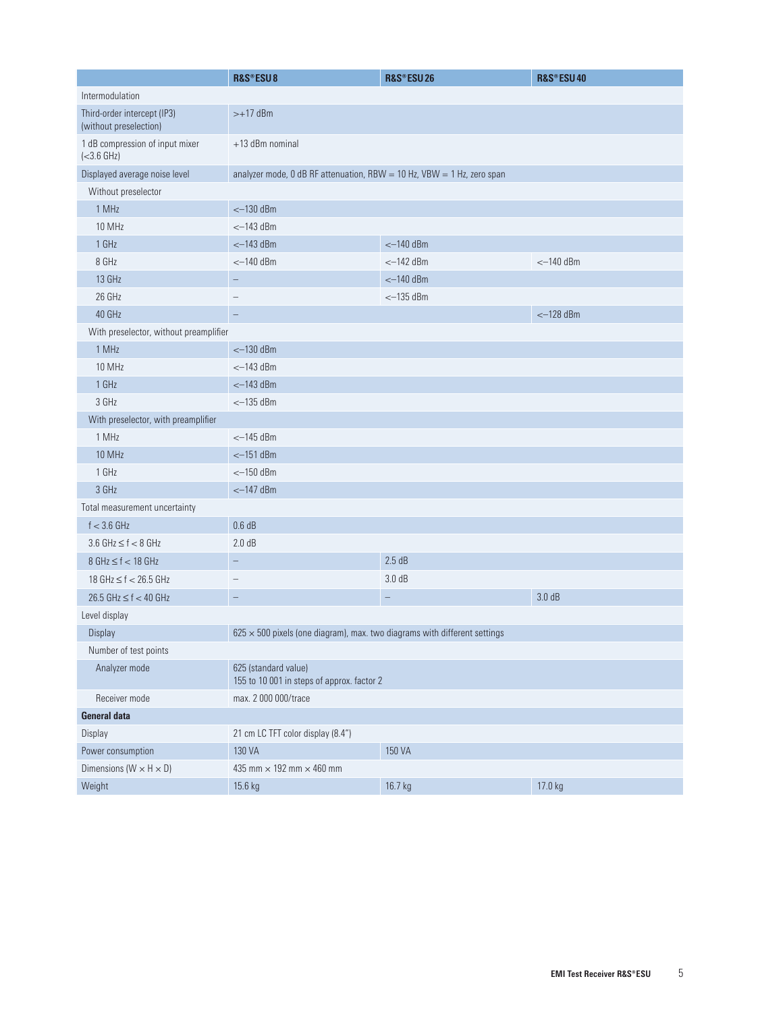|                                                       | R&S®ESU8                                                                         | R&S®ESU26         | <b>R&amp;S®ESU40</b> |  |  |
|-------------------------------------------------------|----------------------------------------------------------------------------------|-------------------|----------------------|--|--|
| Intermodulation                                       |                                                                                  |                   |                      |  |  |
| Third-order intercept (IP3)<br>(without preselection) | $>+17$ dBm                                                                       |                   |                      |  |  |
| 1 dB compression of input mixer<br>$(<3.6$ GHz)       | +13 dBm nominal                                                                  |                   |                      |  |  |
| Displayed average noise level                         | analyzer mode, 0 dB RF attenuation, RBW = 10 Hz, VBW = 1 Hz, zero span           |                   |                      |  |  |
| Without preselector                                   |                                                                                  |                   |                      |  |  |
| 1 MHz                                                 | $<-130$ dBm                                                                      |                   |                      |  |  |
| 10 MHz                                                | $<-143$ dBm                                                                      |                   |                      |  |  |
| 1 GHz                                                 | $<-143$ dBm                                                                      | $<-140$ dBm       |                      |  |  |
| 8 GHz                                                 | $<-140$ dBm                                                                      | $<-142$ dBm       | $<-140$ dBm          |  |  |
| 13 GHz                                                |                                                                                  | $<-140$ dBm       |                      |  |  |
| 26 GHz                                                | $\overline{\phantom{0}}$                                                         | $<-135$ dBm       |                      |  |  |
| 40 GHz                                                | $\overline{\phantom{0}}$                                                         |                   | $<-128$ dBm          |  |  |
| With preselector, without preamplifier                |                                                                                  |                   |                      |  |  |
| 1 MHz                                                 | $<-130$ dBm                                                                      |                   |                      |  |  |
| 10 MHz                                                | $<-143$ dBm                                                                      |                   |                      |  |  |
| 1 GHz                                                 | $<-143$ dBm                                                                      |                   |                      |  |  |
| 3 GHz                                                 | $<-135$ dBm                                                                      |                   |                      |  |  |
| With preselector, with preamplifier                   |                                                                                  |                   |                      |  |  |
| 1 MHz                                                 | $<-145$ dBm                                                                      |                   |                      |  |  |
| 10 MHz                                                | $<-151$ dBm                                                                      |                   |                      |  |  |
| 1 GHz                                                 | $<-150$ dBm                                                                      |                   |                      |  |  |
| 3 GHz                                                 | $<-147$ dBm                                                                      |                   |                      |  |  |
| Total measurement uncertainty                         |                                                                                  |                   |                      |  |  |
| $f < 3.6$ GHz                                         | 0.6 dB                                                                           |                   |                      |  |  |
| $3.6$ GHz $\leq$ f $<$ 8 GHz                          | 2.0 dB                                                                           |                   |                      |  |  |
| $8 GHz \le f < 18 GHz$                                | $\overline{\phantom{m}}$                                                         | 2.5dB             |                      |  |  |
| 18 GHz $\leq$ f $<$ 26.5 GHz                          | $\overline{\phantom{a}}$                                                         | 3.0 dB            |                      |  |  |
| $26.5$ GHz $\leq f < 40$ GHz                          | $\qquad \qquad -$                                                                | $\qquad \qquad -$ | 3.0 dB               |  |  |
| Level display                                         |                                                                                  |                   |                      |  |  |
| Display                                               | $625 \times 500$ pixels (one diagram), max. two diagrams with different settings |                   |                      |  |  |
| Number of test points                                 |                                                                                  |                   |                      |  |  |
| Analyzer mode                                         | 625 (standard value)<br>155 to 10 001 in steps of approx. factor 2               |                   |                      |  |  |
| Receiver mode                                         | max. 2 000 000/trace                                                             |                   |                      |  |  |
| <b>General data</b>                                   |                                                                                  |                   |                      |  |  |
| Display                                               | 21 cm LC TFT color display (8.4")                                                |                   |                      |  |  |
| Power consumption                                     | 130 VA                                                                           | 150 VA            |                      |  |  |
| Dimensions ( $W \times H \times D$ )                  | 435 mm $\times$ 192 mm $\times$ 460 mm                                           |                   |                      |  |  |
| Weight                                                | 15.6 kg                                                                          | 16.7 kg           | 17.0 kg              |  |  |